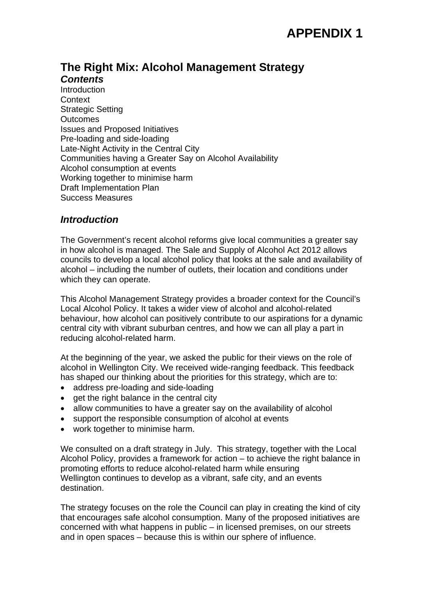# **The Right Mix: Alcohol Management Strategy**  *Contents*

**Introduction Context** Strategic Setting **Outcomes** Issues and Proposed Initiatives Pre-loading and side-loading Late-Night Activity in the Central City Communities having a Greater Say on Alcohol Availability Alcohol consumption at events Working together to minimise harm Draft Implementation Plan Success Measures

# *Introduction*

The Government's recent alcohol reforms give local communities a greater say in how alcohol is managed. The Sale and Supply of Alcohol Act 2012 allows councils to develop a local alcohol policy that looks at the sale and availability of alcohol – including the number of outlets, their location and conditions under which they can operate.

This Alcohol Management Strategy provides a broader context for the Council's Local Alcohol Policy. It takes a wider view of alcohol and alcohol-related behaviour, how alcohol can positively contribute to our aspirations for a dynamic central city with vibrant suburban centres, and how we can all play a part in reducing alcohol-related harm.

At the beginning of the year, we asked the public for their views on the role of alcohol in Wellington City. We received wide-ranging feedback. This feedback has shaped our thinking about the priorities for this strategy, which are to:

- address pre-loading and side-loading
- $\bullet$  get the right balance in the central city
- allow communities to have a greater say on the availability of alcohol
- support the responsible consumption of alcohol at events
- work together to minimise harm.

We consulted on a draft strategy in July. This strategy, together with the Local Alcohol Policy, provides a framework for action – to achieve the right balance in promoting efforts to reduce alcohol-related harm while ensuring Wellington continues to develop as a vibrant, safe city, and an events destination.

The strategy focuses on the role the Council can play in creating the kind of city that encourages safe alcohol consumption. Many of the proposed initiatives are concerned with what happens in public – in licensed premises, on our streets and in open spaces – because this is within our sphere of influence.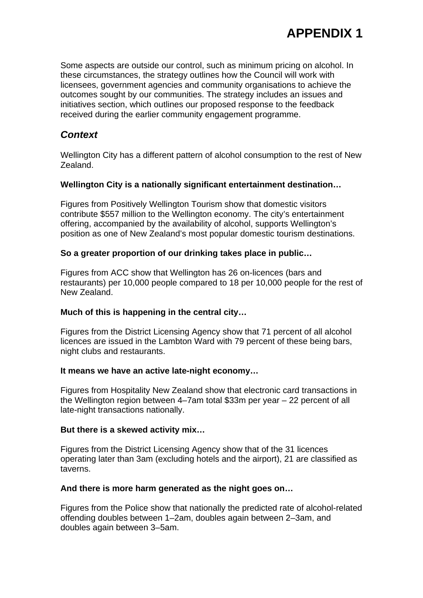Some aspects are outside our control, such as minimum pricing on alcohol. In these circumstances, the strategy outlines how the Council will work with licensees, government agencies and community organisations to achieve the outcomes sought by our communities. The strategy includes an issues and initiatives section, which outlines our proposed response to the feedback received during the earlier community engagement programme.

# *Context*

Wellington City has a different pattern of alcohol consumption to the rest of New Zealand.

#### **Wellington City is a nationally significant entertainment destination…**

Figures from Positively Wellington Tourism show that domestic visitors contribute \$557 million to the Wellington economy. The city's entertainment offering, accompanied by the availability of alcohol, supports Wellington's position as one of New Zealand's most popular domestic tourism destinations.

#### **So a greater proportion of our drinking takes place in public…**

Figures from ACC show that Wellington has 26 on-licences (bars and restaurants) per 10,000 people compared to 18 per 10,000 people for the rest of New Zealand.

#### **Much of this is happening in the central city…**

Figures from the District Licensing Agency show that 71 percent of all alcohol licences are issued in the Lambton Ward with 79 percent of these being bars, night clubs and restaurants.

#### **It means we have an active late-night economy…**

Figures from Hospitality New Zealand show that electronic card transactions in the Wellington region between 4–7am total \$33m per year – 22 percent of all late-night transactions nationally.

#### **But there is a skewed activity mix…**

Figures from the District Licensing Agency show that of the 31 licences operating later than 3am (excluding hotels and the airport), 21 are classified as taverns.

#### **And there is more harm generated as the night goes on…**

Figures from the Police show that nationally the predicted rate of alcohol-related offending doubles between 1–2am, doubles again between 2–3am, and doubles again between 3–5am.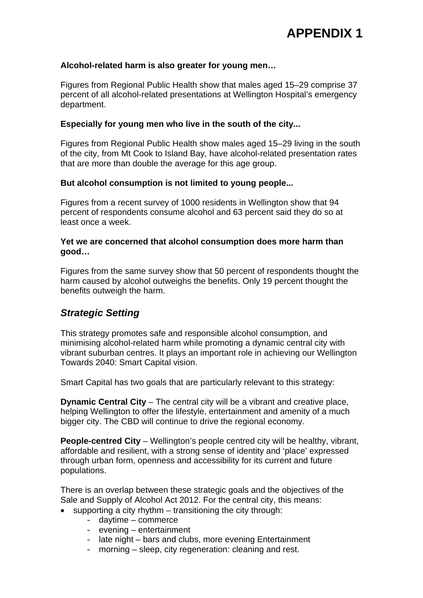#### **Alcohol-related harm is also greater for young men…**

Figures from Regional Public Health show that males aged 15–29 comprise 37 percent of all alcohol-related presentations at Wellington Hospital's emergency department.

#### **Especially for young men who live in the south of the city...**

Figures from Regional Public Health show males aged 15–29 living in the south of the city, from Mt Cook to Island Bay, have alcohol-related presentation rates that are more than double the average for this age group.

#### **But alcohol consumption is not limited to young people...**

Figures from a recent survey of 1000 residents in Wellington show that 94 percent of respondents consume alcohol and 63 percent said they do so at least once a week.

#### **Yet we are concerned that alcohol consumption does more harm than good…**

Figures from the same survey show that 50 percent of respondents thought the harm caused by alcohol outweighs the benefits. Only 19 percent thought the benefits outweigh the harm.

## *Strategic Setting*

This strategy promotes safe and responsible alcohol consumption, and minimising alcohol-related harm while promoting a dynamic central city with vibrant suburban centres. It plays an important role in achieving our Wellington Towards 2040: Smart Capital vision.

Smart Capital has two goals that are particularly relevant to this strategy:

**Dynamic Central City** – The central city will be a vibrant and creative place, helping Wellington to offer the lifestyle, entertainment and amenity of a much bigger city. The CBD will continue to drive the regional economy.

**People-centred City** – Wellington's people centred city will be healthy, vibrant, affordable and resilient, with a strong sense of identity and 'place' expressed through urban form, openness and accessibility for its current and future populations.

There is an overlap between these strategic goals and the objectives of the Sale and Supply of Alcohol Act 2012. For the central city, this means:

- supporting a city rhythm transitioning the city through:
	- daytime commerce
		- evening entertainment
		- late night bars and clubs, more evening Entertainment
		- morning sleep, city regeneration: cleaning and rest.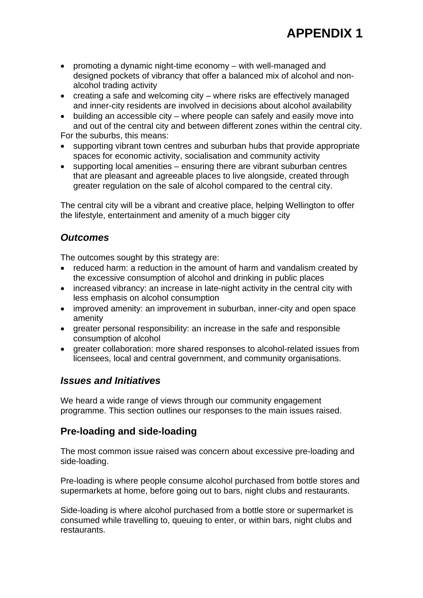- promoting a dynamic night-time economy with well-managed and designed pockets of vibrancy that offer a balanced mix of alcohol and nonalcohol trading activity
- creating a safe and welcoming city where risks are effectively managed and inner-city residents are involved in decisions about alcohol availability
- building an accessible city where people can safely and easily move into and out of the central city and between different zones within the central city.

For the suburbs, this means:

- supporting vibrant town centres and suburban hubs that provide appropriate spaces for economic activity, socialisation and community activity
- supporting local amenities ensuring there are vibrant suburban centres that are pleasant and agreeable places to live alongside, created through greater regulation on the sale of alcohol compared to the central city.

The central city will be a vibrant and creative place, helping Wellington to offer the lifestyle, entertainment and amenity of a much bigger city

# *Outcomes*

The outcomes sought by this strategy are:

- reduced harm: a reduction in the amount of harm and vandalism created by the excessive consumption of alcohol and drinking in public places
- increased vibrancy: an increase in late-night activity in the central city with less emphasis on alcohol consumption
- improved amenity: an improvement in suburban, inner-city and open space amenity
- greater personal responsibility: an increase in the safe and responsible consumption of alcohol
- greater collaboration: more shared responses to alcohol-related issues from licensees, local and central government, and community organisations.

# *Issues and Initiatives*

We heard a wide range of views through our community engagement programme. This section outlines our responses to the main issues raised.

# **Pre-loading and side-loading**

The most common issue raised was concern about excessive pre-loading and side-loading.

Pre-loading is where people consume alcohol purchased from bottle stores and supermarkets at home, before going out to bars, night clubs and restaurants.

Side-loading is where alcohol purchased from a bottle store or supermarket is consumed while travelling to, queuing to enter, or within bars, night clubs and restaurants.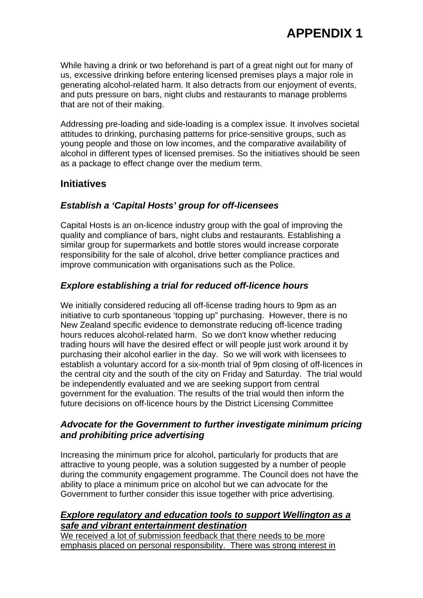While having a drink or two beforehand is part of a great night out for many of us, excessive drinking before entering licensed premises plays a major role in generating alcohol-related harm. It also detracts from our enjoyment of events, and puts pressure on bars, night clubs and restaurants to manage problems that are not of their making.

Addressing pre-loading and side-loading is a complex issue. It involves societal attitudes to drinking, purchasing patterns for price-sensitive groups, such as young people and those on low incomes, and the comparative availability of alcohol in different types of licensed premises. So the initiatives should be seen as a package to effect change over the medium term.

## **Initiatives**

## *Establish a 'Capital Hosts' group for off-licensees*

Capital Hosts is an on-licence industry group with the goal of improving the quality and compliance of bars, night clubs and restaurants. Establishing a similar group for supermarkets and bottle stores would increase corporate responsibility for the sale of alcohol, drive better compliance practices and improve communication with organisations such as the Police.

## *Explore establishing a trial for reduced off-licence hours*

We initially considered reducing all off-license trading hours to 9pm as an initiative to curb spontaneous 'topping up" purchasing. However, there is no New Zealand specific evidence to demonstrate reducing off-licence trading hours reduces alcohol-related harm. So we don't know whether reducing trading hours will have the desired effect or will people just work around it by purchasing their alcohol earlier in the day. So we will work with licensees to establish a voluntary accord for a six-month trial of 9pm closing of off-licences in the central city and the south of the city on Friday and Saturday. The trial would be independently evaluated and we are seeking support from central government for the evaluation. The results of the trial would then inform the future decisions on off-licence hours by the District Licensing Committee

## *Advocate for the Government to further investigate minimum pricing and prohibiting price advertising*

Increasing the minimum price for alcohol, particularly for products that are attractive to young people, was a solution suggested by a number of people during the community engagement programme. The Council does not have the ability to place a minimum price on alcohol but we can advocate for the Government to further consider this issue together with price advertising.

#### *Explore regulatory and education tools to support Wellington as a safe and vibrant entertainment destination*

We received a lot of submission feedback that there needs to be more emphasis placed on personal responsibility. There was strong interest in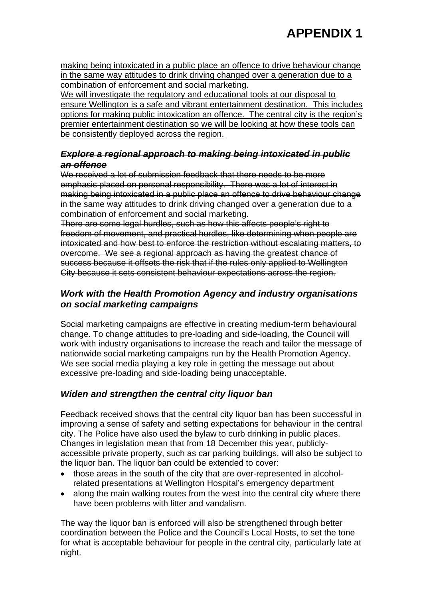making being intoxicated in a public place an offence to drive behaviour change in the same way attitudes to drink driving changed over a generation due to a combination of enforcement and social marketing.

We will investigate the regulatory and educational tools at our disposal to ensure Wellington is a safe and vibrant entertainment destination. This includes options for making public intoxication an offence. The central city is the region's premier entertainment destination so we will be looking at how these tools can be consistently deployed across the region.

## *Explore a regional approach to making being intoxicated in public an offence*

We received a lot of submission feedback that there needs to be more emphasis placed on personal responsibility. There was a lot of interest in making being intoxicated in a public place an offence to drive behaviour change in the same way attitudes to drink driving changed over a generation due to a combination of enforcement and social marketing.

There are some legal hurdles, such as how this affects people's right to freedom of movement, and practical hurdles, like determining when people are intoxicated and how best to enforce the restriction without escalating matters, to overcome. We see a regional approach as having the greatest chance of success because it offsets the risk that if the rules only applied to Wellington City because it sets consistent behaviour expectations across the region.

## *Work with the Health Promotion Agency and industry organisations on social marketing campaigns*

Social marketing campaigns are effective in creating medium-term behavioural change. To change attitudes to pre-loading and side-loading, the Council will work with industry organisations to increase the reach and tailor the message of nationwide social marketing campaigns run by the Health Promotion Agency. We see social media playing a key role in getting the message out about excessive pre-loading and side-loading being unacceptable.

# *Widen and strengthen the central city liquor ban*

Feedback received shows that the central city liquor ban has been successful in improving a sense of safety and setting expectations for behaviour in the central city. The Police have also used the bylaw to curb drinking in public places. Changes in legislation mean that from 18 December this year, publiclyaccessible private property, such as car parking buildings, will also be subject to the liquor ban. The liquor ban could be extended to cover:

- those areas in the south of the city that are over-represented in alcoholrelated presentations at Wellington Hospital's emergency department
- along the main walking routes from the west into the central city where there have been problems with litter and vandalism.

The way the liquor ban is enforced will also be strengthened through better coordination between the Police and the Council's Local Hosts, to set the tone for what is acceptable behaviour for people in the central city, particularly late at night.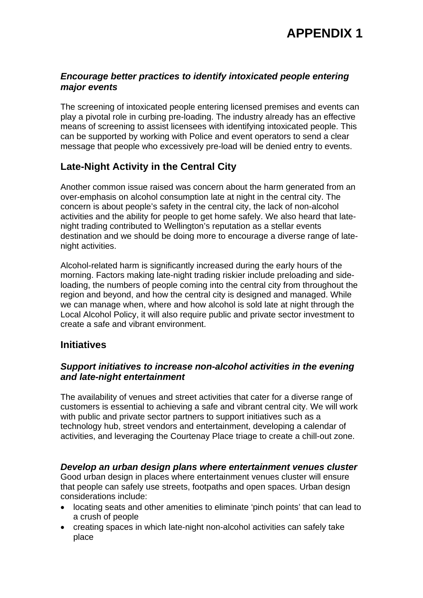## *Encourage better practices to identify intoxicated people entering major events*

The screening of intoxicated people entering licensed premises and events can play a pivotal role in curbing pre-loading. The industry already has an effective means of screening to assist licensees with identifying intoxicated people. This can be supported by working with Police and event operators to send a clear message that people who excessively pre-load will be denied entry to events.

# **Late-Night Activity in the Central City**

Another common issue raised was concern about the harm generated from an over-emphasis on alcohol consumption late at night in the central city. The concern is about people's safety in the central city, the lack of non-alcohol activities and the ability for people to get home safely. We also heard that latenight trading contributed to Wellington's reputation as a stellar events destination and we should be doing more to encourage a diverse range of latenight activities.

Alcohol-related harm is significantly increased during the early hours of the morning. Factors making late-night trading riskier include preloading and sideloading, the numbers of people coming into the central city from throughout the region and beyond, and how the central city is designed and managed. While we can manage when, where and how alcohol is sold late at night through the Local Alcohol Policy, it will also require public and private sector investment to create a safe and vibrant environment.

# **Initiatives**

## *Support initiatives to increase non-alcohol activities in the evening and late-night entertainment*

The availability of venues and street activities that cater for a diverse range of customers is essential to achieving a safe and vibrant central city. We will work with public and private sector partners to support initiatives such as a technology hub, street vendors and entertainment, developing a calendar of activities, and leveraging the Courtenay Place triage to create a chill-out zone.

## *Develop an urban design plans where entertainment venues cluster*

Good urban design in places where entertainment venues cluster will ensure that people can safely use streets, footpaths and open spaces. Urban design considerations include:

- locating seats and other amenities to eliminate 'pinch points' that can lead to a crush of people
- creating spaces in which late-night non-alcohol activities can safely take place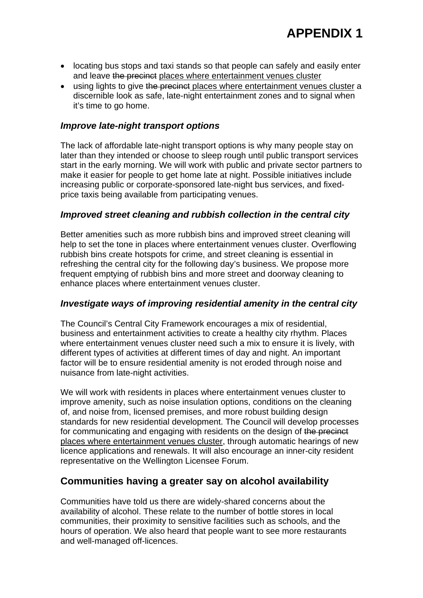- locating bus stops and taxi stands so that people can safely and easily enter and leave the precinct places where entertainment venues cluster
- using lights to give the precinct places where entertainment venues cluster a discernible look as safe, late-night entertainment zones and to signal when it's time to go home.

### *Improve late-night transport options*

The lack of affordable late-night transport options is why many people stay on later than they intended or choose to sleep rough until public transport services start in the early morning. We will work with public and private sector partners to make it easier for people to get home late at night. Possible initiatives include increasing public or corporate-sponsored late-night bus services, and fixedprice taxis being available from participating venues.

#### *Improved street cleaning and rubbish collection in the central city*

Better amenities such as more rubbish bins and improved street cleaning will help to set the tone in places where entertainment venues cluster. Overflowing rubbish bins create hotspots for crime, and street cleaning is essential in refreshing the central city for the following day's business. We propose more frequent emptying of rubbish bins and more street and doorway cleaning to enhance places where entertainment venues cluster.

### *Investigate ways of improving residential amenity in the central city*

The Council's Central City Framework encourages a mix of residential, business and entertainment activities to create a healthy city rhythm. Places where entertainment venues cluster need such a mix to ensure it is lively, with different types of activities at different times of day and night. An important factor will be to ensure residential amenity is not eroded through noise and nuisance from late-night activities.

We will work with residents in places where entertainment venues cluster to improve amenity, such as noise insulation options, conditions on the cleaning of, and noise from, licensed premises, and more robust building design standards for new residential development. The Council will develop processes for communicating and engaging with residents on the design of the precinct places where entertainment venues cluster, through automatic hearings of new licence applications and renewals. It will also encourage an inner-city resident representative on the Wellington Licensee Forum.

## **Communities having a greater say on alcohol availability**

Communities have told us there are widely-shared concerns about the availability of alcohol. These relate to the number of bottle stores in local communities, their proximity to sensitive facilities such as schools, and the hours of operation. We also heard that people want to see more restaurants and well-managed off-licences.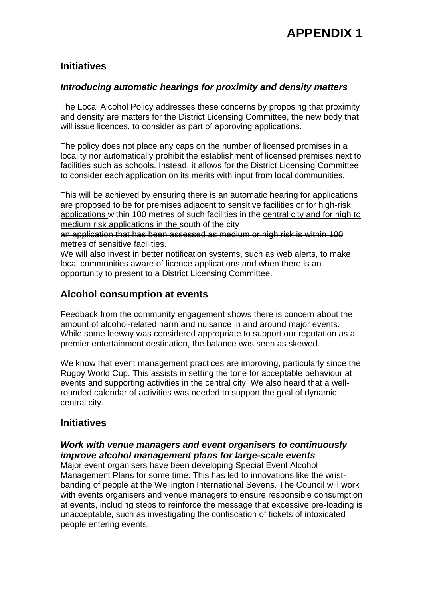## **Initiatives**

## *Introducing automatic hearings for proximity and density matters*

The Local Alcohol Policy addresses these concerns by proposing that proximity and density are matters for the District Licensing Committee, the new body that will issue licences, to consider as part of approving applications.

The policy does not place any caps on the number of licensed promises in a locality nor automatically prohibit the establishment of licensed premises next to facilities such as schools. Instead, it allows for the District Licensing Committee to consider each application on its merits with input from local communities.

This will be achieved by ensuring there is an automatic hearing for applications are proposed to be for premises adjacent to sensitive facilities or for high-risk applications within 100 metres of such facilities in the central city and for high to medium risk applications in the south of the city

an application that has been assessed as medium or high risk is within 100 metres of sensitive facilities.

We will also invest in better notification systems, such as web alerts, to make local communities aware of licence applications and when there is an opportunity to present to a District Licensing Committee.

# **Alcohol consumption at events**

Feedback from the community engagement shows there is concern about the amount of alcohol-related harm and nuisance in and around major events. While some leeway was considered appropriate to support our reputation as a premier entertainment destination, the balance was seen as skewed.

We know that event management practices are improving, particularly since the Rugby World Cup. This assists in setting the tone for acceptable behaviour at events and supporting activities in the central city. We also heard that a wellrounded calendar of activities was needed to support the goal of dynamic central city.

## **Initiatives**

## *Work with venue managers and event organisers to continuously improve alcohol management plans for large-scale events*

Major event organisers have been developing Special Event Alcohol Management Plans for some time. This has led to innovations like the wristbanding of people at the Wellington International Sevens. The Council will work with events organisers and venue managers to ensure responsible consumption at events, including steps to reinforce the message that excessive pre-loading is unacceptable, such as investigating the confiscation of tickets of intoxicated people entering events.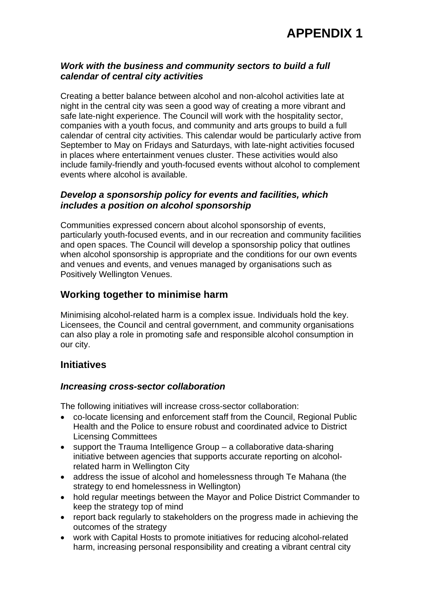

## *Work with the business and community sectors to build a full calendar of central city activities*

Creating a better balance between alcohol and non-alcohol activities late at night in the central city was seen a good way of creating a more vibrant and safe late-night experience. The Council will work with the hospitality sector, companies with a youth focus, and community and arts groups to build a full calendar of central city activities. This calendar would be particularly active from September to May on Fridays and Saturdays, with late-night activities focused in places where entertainment venues cluster. These activities would also include family-friendly and youth-focused events without alcohol to complement events where alcohol is available.

## *Develop a sponsorship policy for events and facilities, which includes a position on alcohol sponsorship*

Communities expressed concern about alcohol sponsorship of events, particularly youth-focused events, and in our recreation and community facilities and open spaces. The Council will develop a sponsorship policy that outlines when alcohol sponsorship is appropriate and the conditions for our own events and venues and events, and venues managed by organisations such as Positively Wellington Venues.

# **Working together to minimise harm**

Minimising alcohol-related harm is a complex issue. Individuals hold the key. Licensees, the Council and central government, and community organisations can also play a role in promoting safe and responsible alcohol consumption in our city.

## **Initiatives**

## *Increasing cross-sector collaboration*

The following initiatives will increase cross-sector collaboration:

- co-locate licensing and enforcement staff from the Council, Regional Public Health and the Police to ensure robust and coordinated advice to District Licensing Committees
- $\bullet$  support the Trauma Intelligence Group a collaborative data-sharing initiative between agencies that supports accurate reporting on alcoholrelated harm in Wellington City
- address the issue of alcohol and homelessness through Te Mahana (the strategy to end homelessness in Wellington)
- hold regular meetings between the Mayor and Police District Commander to keep the strategy top of mind
- report back regularly to stakeholders on the progress made in achieving the outcomes of the strategy
- work with Capital Hosts to promote initiatives for reducing alcohol-related harm, increasing personal responsibility and creating a vibrant central city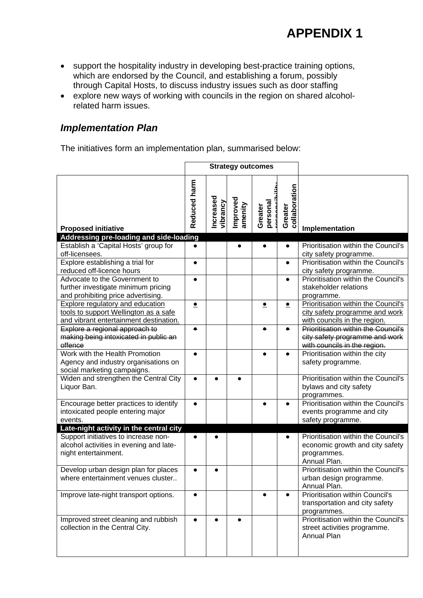- support the hospitality industry in developing best-practice training options, which are endorsed by the Council, and establishing a forum, possibly through Capital Hosts, to discuss industry issues such as door staffing
- explore new ways of working with councils in the region on shared alcoholrelated harm issues.

## *Implementation Plan*

The initiatives form an implementation plan, summarised below:

|                                                                      |              |                       | <b>Strategy outcomes</b> |                     |                          |                                            |
|----------------------------------------------------------------------|--------------|-----------------------|--------------------------|---------------------|--------------------------|--------------------------------------------|
| <b>Proposed initiative</b>                                           | Reduced harm | Increased<br>vibrancy | Improved<br>amenity      | personal<br>Greater | collaboration<br>Greater | Implementation                             |
| Addressing pre-loading and side-loading                              |              |                       |                          |                     |                          |                                            |
| Establish a 'Capital Hosts' group for                                | $\bullet$    |                       |                          |                     |                          | Prioritisation within the Council's        |
| off-licensees.                                                       |              |                       |                          |                     |                          | city safety programme.                     |
| Explore establishing a trial for                                     | $\bullet$    |                       |                          |                     | $\bullet$                | Prioritisation within the Council's        |
| reduced off-licence hours                                            |              |                       |                          |                     |                          | city safety programme.                     |
| Advocate to the Government to                                        |              |                       |                          |                     |                          | Prioritisation within the Council's        |
| further investigate minimum pricing                                  |              |                       |                          |                     |                          | stakeholder relations                      |
| and prohibiting price advertising.                                   |              |                       |                          |                     |                          | programme.                                 |
| <b>Explore regulatory and education</b>                              | $\bullet$    |                       |                          | $\bullet$           | $\bullet$                | Prioritisation within the Council's        |
| tools to support Wellington as a safe                                |              |                       |                          |                     |                          | city safety programme and work             |
| and vibrant entertainment destination.                               |              |                       |                          |                     |                          | with councils in the region.               |
| Explore a regional approach to                                       | $\bullet$    |                       |                          |                     |                          | <b>Prioritisation within the Council's</b> |
| making being intoxicated in public an                                |              |                       |                          |                     |                          | city safety programme and work             |
| offence<br>Work with the Health Promotion                            |              |                       |                          |                     |                          | with councils in the region.               |
|                                                                      | $\bullet$    |                       |                          |                     | $\bullet$                | Prioritisation within the city             |
| Agency and industry organisations on                                 |              |                       |                          |                     |                          | safety programme.                          |
| social marketing campaigns.<br>Widen and strengthen the Central City |              |                       |                          |                     |                          | Prioritisation within the Council's        |
| Liquor Ban.                                                          |              |                       |                          |                     |                          | bylaws and city safety                     |
|                                                                      |              |                       |                          |                     |                          | programmes.                                |
| Encourage better practices to identify                               |              |                       |                          |                     |                          | Prioritisation within the Council's        |
| intoxicated people entering major                                    |              |                       |                          |                     |                          | events programme and city                  |
| events.                                                              |              |                       |                          |                     |                          | safety programme.                          |
| Late-night activity in the central city                              |              |                       |                          |                     |                          |                                            |
| Support initiatives to increase non-                                 |              |                       |                          |                     |                          | Prioritisation within the Council's        |
| alcohol activities in evening and late-                              |              |                       |                          |                     |                          | economic growth and city safety            |
| night entertainment.                                                 |              |                       |                          |                     |                          | programmes.                                |
|                                                                      |              |                       |                          |                     |                          | Annual Plan.                               |
| Develop urban design plan for places                                 |              |                       |                          |                     |                          | Prioritisation within the Council's        |
| where entertainment venues cluster                                   |              |                       |                          |                     |                          | urban design programme.                    |
|                                                                      |              |                       |                          |                     |                          | Annual Plan.                               |
| Improve late-night transport options.                                | $\bullet$    |                       |                          | $\bullet$           | $\bullet$                | <b>Prioritisation within Council's</b>     |
|                                                                      |              |                       |                          |                     |                          | transportation and city safety             |
|                                                                      |              |                       |                          |                     |                          | programmes.                                |
| Improved street cleaning and rubbish                                 |              |                       |                          |                     |                          | Prioritisation within the Council's        |
| collection in the Central City.                                      |              |                       |                          |                     |                          | street activities programme.               |
|                                                                      |              |                       |                          |                     |                          | Annual Plan                                |
|                                                                      |              |                       |                          |                     |                          |                                            |
|                                                                      |              |                       |                          |                     |                          |                                            |